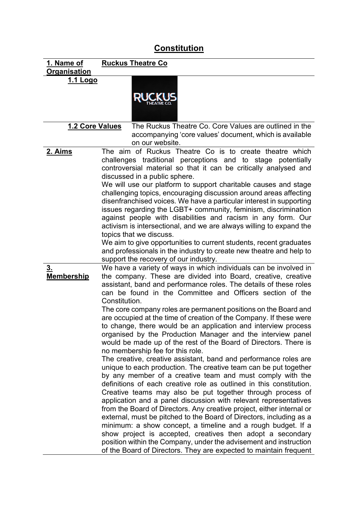## **Constitution**

| <u>1. Name of</u><br>Organisation | <b>Ruckus Theatre Co</b>                                                                                                                 |
|-----------------------------------|------------------------------------------------------------------------------------------------------------------------------------------|
| 1.1 Logo                          |                                                                                                                                          |
|                                   |                                                                                                                                          |
|                                   |                                                                                                                                          |
|                                   |                                                                                                                                          |
|                                   |                                                                                                                                          |
| 1.2 Core Values                   | The Ruckus Theatre Co. Core Values are outlined in the                                                                                   |
|                                   | accompanying 'core values' document, which is available                                                                                  |
|                                   | on our website.                                                                                                                          |
| 2. Aims                           | The aim of Ruckus Theatre Co is to create theatre which                                                                                  |
|                                   | challenges traditional perceptions and to stage potentially                                                                              |
|                                   | controversial material so that it can be critically analysed and                                                                         |
|                                   | discussed in a public sphere.                                                                                                            |
|                                   | We will use our platform to support charitable causes and stage                                                                          |
|                                   | challenging topics, encouraging discussion around areas affecting<br>disenfranchised voices. We have a particular interest in supporting |
|                                   | issues regarding the LGBT+ community, feminism, discrimination                                                                           |
|                                   | against people with disabilities and racism in any form. Our                                                                             |
|                                   | activism is intersectional, and we are always willing to expand the                                                                      |
|                                   | topics that we discuss.                                                                                                                  |
|                                   | We aim to give opportunities to current students, recent graduates                                                                       |
|                                   | and professionals in the industry to create new theatre and help to                                                                      |
|                                   | support the recovery of our industry.                                                                                                    |
| 3 <sub>1</sub>                    | We have a variety of ways in which individuals can be involved in                                                                        |
| <b>Membership</b>                 | the company. These are divided into Board, creative, creative                                                                            |
|                                   | assistant, band and performance roles. The details of these roles<br>can be found in the Committee and Officers section of the           |
|                                   | Constitution.                                                                                                                            |
|                                   | The core company roles are permanent positions on the Board and                                                                          |
|                                   | are occupied at the time of creation of the Company. If these were                                                                       |
|                                   | to change, there would be an application and interview process                                                                           |
|                                   | organised by the Production Manager and the interview panel                                                                              |
|                                   | would be made up of the rest of the Board of Directors. There is                                                                         |
|                                   | no membership fee for this role.                                                                                                         |
|                                   | The creative, creative assistant, band and performance roles are                                                                         |
|                                   | unique to each production. The creative team can be put together                                                                         |
|                                   | by any member of a creative team and must comply with the<br>definitions of each creative role as outlined in this constitution.         |
|                                   | Creative teams may also be put together through process of                                                                               |
|                                   | application and a panel discussion with relevant representatives                                                                         |
|                                   | from the Board of Directors. Any creative project, either internal or                                                                    |
|                                   | external, must be pitched to the Board of Directors, including as a                                                                      |
|                                   | minimum: a show concept, a timeline and a rough budget. If a                                                                             |
|                                   | show project is accepted, creatives then adopt a secondary                                                                               |
|                                   | position within the Company, under the advisement and instruction                                                                        |
|                                   | of the Board of Directors. They are expected to maintain frequent                                                                        |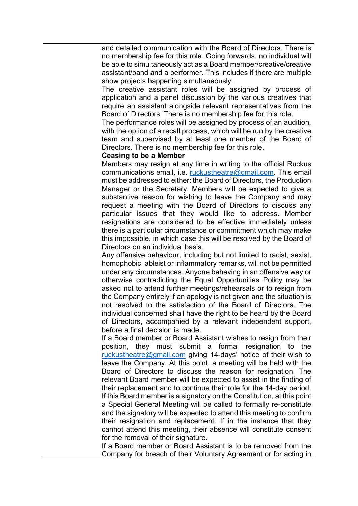and detailed communication with the Board of Directors. There is no membership fee for this role. Going forwards, no individual will be able to simultaneously act as a Board member/creative/creative assistant/band and a performer. This includes if there are multiple show projects happening simultaneously.

The creative assistant roles will be assigned by process of application and a panel discussion by the various creatives that require an assistant alongside relevant representatives from the Board of Directors. There is no membership fee for this role.

The performance roles will be assigned by process of an audition, with the option of a recall process, which will be run by the creative team and supervised by at least one member of the Board of Directors. There is no membership fee for this role.

## **Ceasing to be a Member**

Members may resign at any time in writing to the official Ruckus communications email, i.e. [ruckustheatre@gmail.com.](mailto:ruckustheatre@gmail.com) This email must be addressed to either: the Board of Directors, the Production Manager or the Secretary. Members will be expected to give a substantive reason for wishing to leave the Company and may request a meeting with the Board of Directors to discuss any particular issues that they would like to address. Member resignations are considered to be effective immediately unless there is a particular circumstance or commitment which may make this impossible, in which case this will be resolved by the Board of Directors on an individual basis.

Any offensive behaviour, including but not limited to racist, sexist, homophobic, ableist or inflammatory remarks, will not be permitted under any circumstances. Anyone behaving in an offensive way or otherwise contradicting the Equal Opportunities Policy may be asked not to attend further meetings/rehearsals or to resign from the Company entirely if an apology is not given and the situation is not resolved to the satisfaction of the Board of Directors. The individual concerned shall have the right to be heard by the Board of Directors, accompanied by a relevant independent support, before a final decision is made.

If a Board member or Board Assistant wishes to resign from their position, they must submit a formal resignation to the [ruckustheatre@gmail.com](mailto:ruckustheatre@gmail.com) giving 14-days' notice of their wish to leave the Company. At this point, a meeting will be held with the Board of Directors to discuss the reason for resignation. The relevant Board member will be expected to assist in the finding of their replacement and to continue their role for the 14-day period. If this Board member is a signatory on the Constitution, at this point a Special General Meeting will be called to formally re-constitute and the signatory will be expected to attend this meeting to confirm their resignation and replacement. If in the instance that they cannot attend this meeting, their absence will constitute consent for the removal of their signature.

If a Board member or Board Assistant is to be removed from the Company for breach of their Voluntary Agreement or for acting in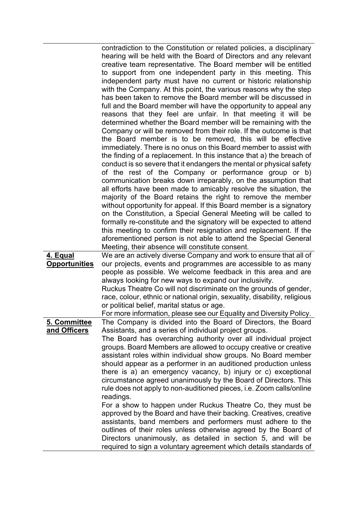|                                         | contradiction to the Constitution or related policies, a disciplinary<br>hearing will be held with the Board of Directors and any relevant<br>creative team representative. The Board member will be entitled<br>to support from one independent party in this meeting. This<br>independent party must have no current or historic relationship<br>with the Company. At this point, the various reasons why the step<br>has been taken to remove the Board member will be discussed in<br>full and the Board member will have the opportunity to appeal any<br>reasons that they feel are unfair. In that meeting it will be<br>determined whether the Board member will be remaining with the<br>Company or will be removed from their role. If the outcome is that<br>the Board member is to be removed, this will be effective<br>immediately. There is no onus on this Board member to assist with<br>the finding of a replacement. In this instance that a) the breach of<br>conduct is so severe that it endangers the mental or physical safety<br>of the rest of the Company or performance group or b)<br>communication breaks down irreparably, on the assumption that<br>all efforts have been made to amicably resolve the situation, the<br>majority of the Board retains the right to remove the member<br>without opportunity for appeal. If this Board member is a signatory<br>on the Constitution, a Special General Meeting will be called to<br>formally re-constitute and the signatory will be expected to attend<br>this meeting to confirm their resignation and replacement. If the<br>aforementioned person is not able to attend the Special General<br>Meeting, their absence will constitute consent. |
|-----------------------------------------|------------------------------------------------------------------------------------------------------------------------------------------------------------------------------------------------------------------------------------------------------------------------------------------------------------------------------------------------------------------------------------------------------------------------------------------------------------------------------------------------------------------------------------------------------------------------------------------------------------------------------------------------------------------------------------------------------------------------------------------------------------------------------------------------------------------------------------------------------------------------------------------------------------------------------------------------------------------------------------------------------------------------------------------------------------------------------------------------------------------------------------------------------------------------------------------------------------------------------------------------------------------------------------------------------------------------------------------------------------------------------------------------------------------------------------------------------------------------------------------------------------------------------------------------------------------------------------------------------------------------------------------------------------------------------------------------------------------------------------|
| <u>4. Equal</u><br><b>Opportunities</b> | We are an actively diverse Company and work to ensure that all of<br>our projects, events and programmes are accessible to as many                                                                                                                                                                                                                                                                                                                                                                                                                                                                                                                                                                                                                                                                                                                                                                                                                                                                                                                                                                                                                                                                                                                                                                                                                                                                                                                                                                                                                                                                                                                                                                                                 |
|                                         | people as possible. We welcome feedback in this area and are                                                                                                                                                                                                                                                                                                                                                                                                                                                                                                                                                                                                                                                                                                                                                                                                                                                                                                                                                                                                                                                                                                                                                                                                                                                                                                                                                                                                                                                                                                                                                                                                                                                                       |
|                                         | always looking for new ways to expand our inclusivity.                                                                                                                                                                                                                                                                                                                                                                                                                                                                                                                                                                                                                                                                                                                                                                                                                                                                                                                                                                                                                                                                                                                                                                                                                                                                                                                                                                                                                                                                                                                                                                                                                                                                             |
|                                         | Ruckus Theatre Co will not discriminate on the grounds of gender,<br>race, colour, ethnic or national origin, sexuality, disability, religious                                                                                                                                                                                                                                                                                                                                                                                                                                                                                                                                                                                                                                                                                                                                                                                                                                                                                                                                                                                                                                                                                                                                                                                                                                                                                                                                                                                                                                                                                                                                                                                     |
|                                         | or political belief, marital status or age.                                                                                                                                                                                                                                                                                                                                                                                                                                                                                                                                                                                                                                                                                                                                                                                                                                                                                                                                                                                                                                                                                                                                                                                                                                                                                                                                                                                                                                                                                                                                                                                                                                                                                        |
| 5. Committee                            | For more information, please see our Equality and Diversity Policy.<br>The Company is divided into the Board of Directors, the Board                                                                                                                                                                                                                                                                                                                                                                                                                                                                                                                                                                                                                                                                                                                                                                                                                                                                                                                                                                                                                                                                                                                                                                                                                                                                                                                                                                                                                                                                                                                                                                                               |
| and Officers                            | Assistants, and a series of individual project groups.                                                                                                                                                                                                                                                                                                                                                                                                                                                                                                                                                                                                                                                                                                                                                                                                                                                                                                                                                                                                                                                                                                                                                                                                                                                                                                                                                                                                                                                                                                                                                                                                                                                                             |
|                                         | The Board has overarching authority over all individual project                                                                                                                                                                                                                                                                                                                                                                                                                                                                                                                                                                                                                                                                                                                                                                                                                                                                                                                                                                                                                                                                                                                                                                                                                                                                                                                                                                                                                                                                                                                                                                                                                                                                    |
|                                         | groups. Board Members are allowed to occupy creative or creative                                                                                                                                                                                                                                                                                                                                                                                                                                                                                                                                                                                                                                                                                                                                                                                                                                                                                                                                                                                                                                                                                                                                                                                                                                                                                                                                                                                                                                                                                                                                                                                                                                                                   |
|                                         | assistant roles within individual show groups. No Board member<br>should appear as a performer in an auditioned production unless                                                                                                                                                                                                                                                                                                                                                                                                                                                                                                                                                                                                                                                                                                                                                                                                                                                                                                                                                                                                                                                                                                                                                                                                                                                                                                                                                                                                                                                                                                                                                                                                  |
|                                         | there is a) an emergency vacancy, b) injury or c) exceptional                                                                                                                                                                                                                                                                                                                                                                                                                                                                                                                                                                                                                                                                                                                                                                                                                                                                                                                                                                                                                                                                                                                                                                                                                                                                                                                                                                                                                                                                                                                                                                                                                                                                      |
|                                         | circumstance agreed unanimously by the Board of Directors. This                                                                                                                                                                                                                                                                                                                                                                                                                                                                                                                                                                                                                                                                                                                                                                                                                                                                                                                                                                                                                                                                                                                                                                                                                                                                                                                                                                                                                                                                                                                                                                                                                                                                    |
|                                         | rule does not apply to non-auditioned pieces, i.e. Zoom calls/online<br>readings.                                                                                                                                                                                                                                                                                                                                                                                                                                                                                                                                                                                                                                                                                                                                                                                                                                                                                                                                                                                                                                                                                                                                                                                                                                                                                                                                                                                                                                                                                                                                                                                                                                                  |
|                                         | For a show to happen under Ruckus Theatre Co, they must be                                                                                                                                                                                                                                                                                                                                                                                                                                                                                                                                                                                                                                                                                                                                                                                                                                                                                                                                                                                                                                                                                                                                                                                                                                                                                                                                                                                                                                                                                                                                                                                                                                                                         |
|                                         | approved by the Board and have their backing. Creatives, creative                                                                                                                                                                                                                                                                                                                                                                                                                                                                                                                                                                                                                                                                                                                                                                                                                                                                                                                                                                                                                                                                                                                                                                                                                                                                                                                                                                                                                                                                                                                                                                                                                                                                  |
|                                         | assistants, band members and performers must adhere to the                                                                                                                                                                                                                                                                                                                                                                                                                                                                                                                                                                                                                                                                                                                                                                                                                                                                                                                                                                                                                                                                                                                                                                                                                                                                                                                                                                                                                                                                                                                                                                                                                                                                         |
|                                         | outlines of their roles unless otherwise agreed by the Board of<br>Directors unanimously, as detailed in section 5, and will be                                                                                                                                                                                                                                                                                                                                                                                                                                                                                                                                                                                                                                                                                                                                                                                                                                                                                                                                                                                                                                                                                                                                                                                                                                                                                                                                                                                                                                                                                                                                                                                                    |
|                                         | required to sign a voluntary agreement which details standards of                                                                                                                                                                                                                                                                                                                                                                                                                                                                                                                                                                                                                                                                                                                                                                                                                                                                                                                                                                                                                                                                                                                                                                                                                                                                                                                                                                                                                                                                                                                                                                                                                                                                  |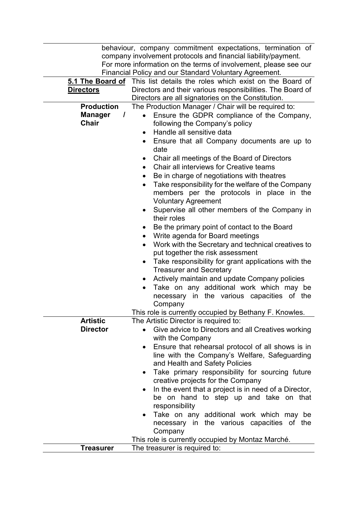|                            | behaviour, company commitment expectations, termination of                  |
|----------------------------|-----------------------------------------------------------------------------|
|                            | company involvement protocols and financial liability/payment.              |
|                            | For more information on the terms of involvement, please see our            |
|                            | Financial Policy and our Standard Voluntary Agreement.                      |
|                            | 5.1 The Board of This list details the roles which exist on the Board of    |
| <b>Directors</b>           | Directors and their various responsibilities. The Board of                  |
|                            | Directors are all signatories on the Constitution.                          |
| <b>Production</b>          | The Production Manager / Chair will be required to:                         |
| <b>Manager</b><br>$\prime$ | Ensure the GDPR compliance of the Company,<br>$\bullet$                     |
| <b>Chair</b>               | following the Company's policy                                              |
|                            | Handle all sensitive data<br>$\bullet$                                      |
|                            | Ensure that all Company documents are up to                                 |
|                            | date                                                                        |
|                            | Chair all meetings of the Board of Directors                                |
|                            | Chair all interviews for Creative teams<br>$\bullet$                        |
|                            | Be in charge of negotiations with theatres                                  |
|                            | Take responsibility for the welfare of the Company<br>$\bullet$             |
|                            | members per the protocols in place in the                                   |
|                            | <b>Voluntary Agreement</b><br>Supervise all other members of the Company in |
|                            | $\bullet$<br>their roles                                                    |
|                            | Be the primary point of contact to the Board                                |
|                            | Write agenda for Board meetings                                             |
|                            | Work with the Secretary and technical creatives to<br>$\bullet$             |
|                            | put together the risk assessment                                            |
|                            | Take responsibility for grant applications with the                         |
|                            | <b>Treasurer and Secretary</b>                                              |
|                            | Actively maintain and update Company policies<br>$\bullet$                  |
|                            | Take on any additional work which may be<br>$\bullet$                       |
|                            | necessary in the various capacities of the                                  |
|                            | Company                                                                     |
|                            | This role is currently occupied by Bethany F. Knowles.                      |
| <b>Artistic</b>            | The Artistic Director is required to:                                       |
| <b>Director</b>            | Give advice to Directors and all Creatives working                          |
|                            | with the Company                                                            |
|                            | Ensure that rehearsal protocol of all shows is in<br>$\bullet$              |
|                            | line with the Company's Welfare, Safeguarding                               |
|                            | and Health and Safety Policies                                              |
|                            | Take primary responsibility for sourcing future<br>$\bullet$                |
|                            | creative projects for the Company                                           |
|                            | In the event that a project is in need of a Director,<br>٠                  |
|                            | be on hand to step up and take on that                                      |
|                            | responsibility                                                              |
|                            | Take on any additional work which may be<br>$\bullet$                       |
|                            | necessary in the various capacities of the<br>Company                       |
|                            | This role is currently occupied by Montaz Marché.                           |
| <b>Treasurer</b>           | The treasurer is required to:                                               |
|                            |                                                                             |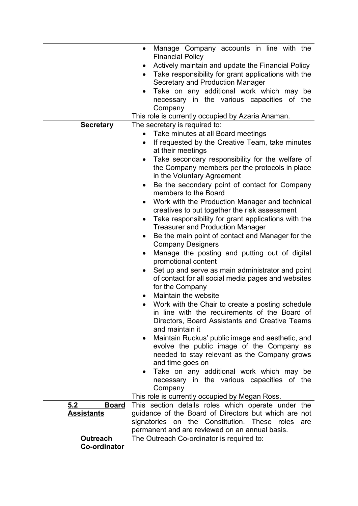|                     | Manage Company accounts in line with the<br>$\bullet$                                  |
|---------------------|----------------------------------------------------------------------------------------|
|                     | <b>Financial Policy</b><br>Actively maintain and update the Financial Policy<br>٠      |
|                     | Take responsibility for grant applications with the<br>$\bullet$                       |
|                     | Secretary and Production Manager                                                       |
|                     | Take on any additional work which may be<br>$\bullet$                                  |
|                     | necessary in the various capacities of the<br>Company                                  |
|                     | This role is currently occupied by Azaria Anaman.                                      |
| <b>Secretary</b>    | The secretary is required to:                                                          |
|                     | Take minutes at all Board meetings<br>$\bullet$                                        |
|                     | If requested by the Creative Team, take minutes<br>$\bullet$                           |
|                     | at their meetings                                                                      |
|                     | Take secondary responsibility for the welfare of<br>٠                                  |
|                     | the Company members per the protocols in place                                         |
|                     | in the Voluntary Agreement                                                             |
|                     | Be the secondary point of contact for Company<br>$\bullet$                             |
|                     | members to the Board                                                                   |
|                     | Work with the Production Manager and technical<br>$\bullet$                            |
|                     | creatives to put together the risk assessment                                          |
|                     | Take responsibility for grant applications with the<br>$\bullet$                       |
|                     | <b>Treasurer and Production Manager</b>                                                |
|                     | Be the main point of contact and Manager for the<br>$\bullet$                          |
|                     | <b>Company Designers</b>                                                               |
|                     | Manage the posting and putting out of digital<br>٠<br>promotional content              |
|                     | Set up and serve as main administrator and point<br>$\bullet$                          |
|                     | of contact for all social media pages and websites                                     |
|                     | for the Company                                                                        |
|                     | Maintain the website<br>$\bullet$                                                      |
|                     | Work with the Chair to create a posting schedule<br>$\bullet$                          |
|                     | in line with the requirements of the Board of                                          |
|                     | Directors, Board Assistants and Creative Teams                                         |
|                     | and maintain it                                                                        |
|                     | Maintain Ruckus' public image and aesthetic, and<br>$\bullet$                          |
|                     | evolve the public image of the Company as                                              |
|                     | needed to stay relevant as the Company grows                                           |
|                     | and time goes on                                                                       |
|                     | Take on any additional work which may be<br>necessary in the various capacities of the |
|                     | Company                                                                                |
|                     | This role is currently occupied by Megan Ross.                                         |
| 5.2<br><u>Board</u> | This section details roles which operate under the                                     |
| <u>Assistants</u>   | guidance of the Board of Directors but which are not                                   |
|                     | signatories on the Constitution. These roles<br>are                                    |
|                     | permanent and are reviewed on an annual basis.                                         |
| <b>Outreach</b>     | The Outreach Co-ordinator is required to:                                              |
| <b>Co-ordinator</b> |                                                                                        |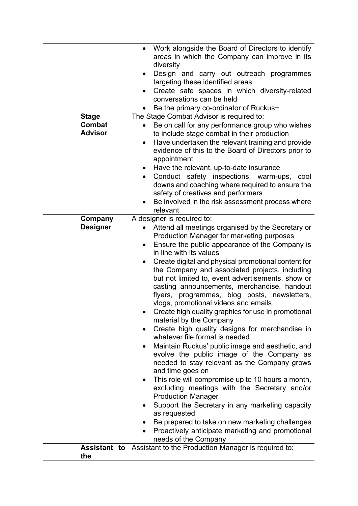| Conduct safety inspections, warm-ups, cool<br>$\bullet$<br>downs and coaching where required to ensure the<br>safety of creatives and performers<br>Be involved in the risk assessment process where<br>relevant<br>A designer is required to:<br>Company<br><b>Designer</b><br>Attend all meetings organised by the Secretary or<br>Production Manager for marketing purposes<br>Ensure the public appearance of the Company is<br>$\bullet$<br>in line with its values<br>Create digital and physical promotional content for<br>$\bullet$<br>the Company and associated projects, including<br>but not limited to, event advertisements, show or<br>casting announcements, merchandise, handout<br>flyers, programmes, blog posts, newsletters,<br>vlogs, promotional videos and emails<br>Create high quality graphics for use in promotional<br>material by the Company<br>Create high quality designs for merchandise in<br>whatever file format is needed<br>Maintain Ruckus' public image and aesthetic, and<br>evolve the public image of the Company as<br>needed to stay relevant as the Company grows<br>and time goes on<br>This role will compromise up to 10 hours a month,<br>٠<br>excluding meetings with the Secretary and/or<br><b>Production Manager</b><br>Support the Secretary in any marketing capacity<br>as requested<br>Be prepared to take on new marketing challenges<br>٠<br>Proactively anticipate marketing and promotional<br>$\bullet$<br>needs of the Company<br><b>Assistant to</b> Assistant to the Production Manager is required to:<br>the |  | Have the relevant, up-to-date insurance<br>$\bullet$               |
|------------------------------------------------------------------------------------------------------------------------------------------------------------------------------------------------------------------------------------------------------------------------------------------------------------------------------------------------------------------------------------------------------------------------------------------------------------------------------------------------------------------------------------------------------------------------------------------------------------------------------------------------------------------------------------------------------------------------------------------------------------------------------------------------------------------------------------------------------------------------------------------------------------------------------------------------------------------------------------------------------------------------------------------------------------------------------------------------------------------------------------------------------------------------------------------------------------------------------------------------------------------------------------------------------------------------------------------------------------------------------------------------------------------------------------------------------------------------------------------------------------------------------------------------------------------------------------|--|--------------------------------------------------------------------|
|                                                                                                                                                                                                                                                                                                                                                                                                                                                                                                                                                                                                                                                                                                                                                                                                                                                                                                                                                                                                                                                                                                                                                                                                                                                                                                                                                                                                                                                                                                                                                                                    |  | evidence of this to the Board of Directors prior to<br>appointment |
|                                                                                                                                                                                                                                                                                                                                                                                                                                                                                                                                                                                                                                                                                                                                                                                                                                                                                                                                                                                                                                                                                                                                                                                                                                                                                                                                                                                                                                                                                                                                                                                    |  |                                                                    |
|                                                                                                                                                                                                                                                                                                                                                                                                                                                                                                                                                                                                                                                                                                                                                                                                                                                                                                                                                                                                                                                                                                                                                                                                                                                                                                                                                                                                                                                                                                                                                                                    |  |                                                                    |
|                                                                                                                                                                                                                                                                                                                                                                                                                                                                                                                                                                                                                                                                                                                                                                                                                                                                                                                                                                                                                                                                                                                                                                                                                                                                                                                                                                                                                                                                                                                                                                                    |  |                                                                    |
|                                                                                                                                                                                                                                                                                                                                                                                                                                                                                                                                                                                                                                                                                                                                                                                                                                                                                                                                                                                                                                                                                                                                                                                                                                                                                                                                                                                                                                                                                                                                                                                    |  |                                                                    |
|                                                                                                                                                                                                                                                                                                                                                                                                                                                                                                                                                                                                                                                                                                                                                                                                                                                                                                                                                                                                                                                                                                                                                                                                                                                                                                                                                                                                                                                                                                                                                                                    |  |                                                                    |
|                                                                                                                                                                                                                                                                                                                                                                                                                                                                                                                                                                                                                                                                                                                                                                                                                                                                                                                                                                                                                                                                                                                                                                                                                                                                                                                                                                                                                                                                                                                                                                                    |  |                                                                    |
|                                                                                                                                                                                                                                                                                                                                                                                                                                                                                                                                                                                                                                                                                                                                                                                                                                                                                                                                                                                                                                                                                                                                                                                                                                                                                                                                                                                                                                                                                                                                                                                    |  |                                                                    |
|                                                                                                                                                                                                                                                                                                                                                                                                                                                                                                                                                                                                                                                                                                                                                                                                                                                                                                                                                                                                                                                                                                                                                                                                                                                                                                                                                                                                                                                                                                                                                                                    |  |                                                                    |
|                                                                                                                                                                                                                                                                                                                                                                                                                                                                                                                                                                                                                                                                                                                                                                                                                                                                                                                                                                                                                                                                                                                                                                                                                                                                                                                                                                                                                                                                                                                                                                                    |  |                                                                    |
|                                                                                                                                                                                                                                                                                                                                                                                                                                                                                                                                                                                                                                                                                                                                                                                                                                                                                                                                                                                                                                                                                                                                                                                                                                                                                                                                                                                                                                                                                                                                                                                    |  |                                                                    |
|                                                                                                                                                                                                                                                                                                                                                                                                                                                                                                                                                                                                                                                                                                                                                                                                                                                                                                                                                                                                                                                                                                                                                                                                                                                                                                                                                                                                                                                                                                                                                                                    |  |                                                                    |
|                                                                                                                                                                                                                                                                                                                                                                                                                                                                                                                                                                                                                                                                                                                                                                                                                                                                                                                                                                                                                                                                                                                                                                                                                                                                                                                                                                                                                                                                                                                                                                                    |  |                                                                    |
|                                                                                                                                                                                                                                                                                                                                                                                                                                                                                                                                                                                                                                                                                                                                                                                                                                                                                                                                                                                                                                                                                                                                                                                                                                                                                                                                                                                                                                                                                                                                                                                    |  |                                                                    |
|                                                                                                                                                                                                                                                                                                                                                                                                                                                                                                                                                                                                                                                                                                                                                                                                                                                                                                                                                                                                                                                                                                                                                                                                                                                                                                                                                                                                                                                                                                                                                                                    |  |                                                                    |
|                                                                                                                                                                                                                                                                                                                                                                                                                                                                                                                                                                                                                                                                                                                                                                                                                                                                                                                                                                                                                                                                                                                                                                                                                                                                                                                                                                                                                                                                                                                                                                                    |  |                                                                    |
|                                                                                                                                                                                                                                                                                                                                                                                                                                                                                                                                                                                                                                                                                                                                                                                                                                                                                                                                                                                                                                                                                                                                                                                                                                                                                                                                                                                                                                                                                                                                                                                    |  |                                                                    |
|                                                                                                                                                                                                                                                                                                                                                                                                                                                                                                                                                                                                                                                                                                                                                                                                                                                                                                                                                                                                                                                                                                                                                                                                                                                                                                                                                                                                                                                                                                                                                                                    |  |                                                                    |
|                                                                                                                                                                                                                                                                                                                                                                                                                                                                                                                                                                                                                                                                                                                                                                                                                                                                                                                                                                                                                                                                                                                                                                                                                                                                                                                                                                                                                                                                                                                                                                                    |  |                                                                    |
|                                                                                                                                                                                                                                                                                                                                                                                                                                                                                                                                                                                                                                                                                                                                                                                                                                                                                                                                                                                                                                                                                                                                                                                                                                                                                                                                                                                                                                                                                                                                                                                    |  |                                                                    |
|                                                                                                                                                                                                                                                                                                                                                                                                                                                                                                                                                                                                                                                                                                                                                                                                                                                                                                                                                                                                                                                                                                                                                                                                                                                                                                                                                                                                                                                                                                                                                                                    |  |                                                                    |
|                                                                                                                                                                                                                                                                                                                                                                                                                                                                                                                                                                                                                                                                                                                                                                                                                                                                                                                                                                                                                                                                                                                                                                                                                                                                                                                                                                                                                                                                                                                                                                                    |  |                                                                    |
|                                                                                                                                                                                                                                                                                                                                                                                                                                                                                                                                                                                                                                                                                                                                                                                                                                                                                                                                                                                                                                                                                                                                                                                                                                                                                                                                                                                                                                                                                                                                                                                    |  |                                                                    |
|                                                                                                                                                                                                                                                                                                                                                                                                                                                                                                                                                                                                                                                                                                                                                                                                                                                                                                                                                                                                                                                                                                                                                                                                                                                                                                                                                                                                                                                                                                                                                                                    |  |                                                                    |
|                                                                                                                                                                                                                                                                                                                                                                                                                                                                                                                                                                                                                                                                                                                                                                                                                                                                                                                                                                                                                                                                                                                                                                                                                                                                                                                                                                                                                                                                                                                                                                                    |  |                                                                    |
|                                                                                                                                                                                                                                                                                                                                                                                                                                                                                                                                                                                                                                                                                                                                                                                                                                                                                                                                                                                                                                                                                                                                                                                                                                                                                                                                                                                                                                                                                                                                                                                    |  |                                                                    |
|                                                                                                                                                                                                                                                                                                                                                                                                                                                                                                                                                                                                                                                                                                                                                                                                                                                                                                                                                                                                                                                                                                                                                                                                                                                                                                                                                                                                                                                                                                                                                                                    |  |                                                                    |
|                                                                                                                                                                                                                                                                                                                                                                                                                                                                                                                                                                                                                                                                                                                                                                                                                                                                                                                                                                                                                                                                                                                                                                                                                                                                                                                                                                                                                                                                                                                                                                                    |  |                                                                    |
|                                                                                                                                                                                                                                                                                                                                                                                                                                                                                                                                                                                                                                                                                                                                                                                                                                                                                                                                                                                                                                                                                                                                                                                                                                                                                                                                                                                                                                                                                                                                                                                    |  |                                                                    |
|                                                                                                                                                                                                                                                                                                                                                                                                                                                                                                                                                                                                                                                                                                                                                                                                                                                                                                                                                                                                                                                                                                                                                                                                                                                                                                                                                                                                                                                                                                                                                                                    |  |                                                                    |
|                                                                                                                                                                                                                                                                                                                                                                                                                                                                                                                                                                                                                                                                                                                                                                                                                                                                                                                                                                                                                                                                                                                                                                                                                                                                                                                                                                                                                                                                                                                                                                                    |  |                                                                    |
|                                                                                                                                                                                                                                                                                                                                                                                                                                                                                                                                                                                                                                                                                                                                                                                                                                                                                                                                                                                                                                                                                                                                                                                                                                                                                                                                                                                                                                                                                                                                                                                    |  |                                                                    |
|                                                                                                                                                                                                                                                                                                                                                                                                                                                                                                                                                                                                                                                                                                                                                                                                                                                                                                                                                                                                                                                                                                                                                                                                                                                                                                                                                                                                                                                                                                                                                                                    |  |                                                                    |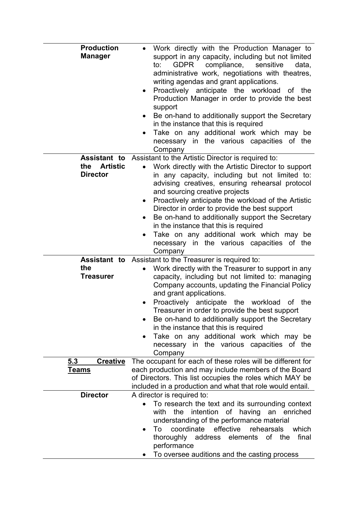| <b>Production</b><br><b>Manager</b>                              | Work directly with the Production Manager to<br>support in any capacity, including but not limited<br><b>GDPR</b><br>compliance,<br>to:<br>sensitive<br>data,<br>administrative work, negotiations with theatres,<br>writing agendas and grant applications.<br>Proactively anticipate the workload<br>the<br>оf<br>٠<br>Production Manager in order to provide the best<br>support<br>Be on-hand to additionally support the Secretary<br>٠<br>in the instance that this is required<br>Take on any additional work which may be<br>٠<br>necessary in the various capacities of the<br>Company |
|------------------------------------------------------------------|-------------------------------------------------------------------------------------------------------------------------------------------------------------------------------------------------------------------------------------------------------------------------------------------------------------------------------------------------------------------------------------------------------------------------------------------------------------------------------------------------------------------------------------------------------------------------------------------------|
| <b>Assistant to</b><br><b>Artistic</b><br>the<br><b>Director</b> | Assistant to the Artistic Director is required to:<br>Work directly with the Artistic Director to support<br>in any capacity, including but not limited to:<br>advising creatives, ensuring rehearsal protocol<br>and sourcing creative projects<br>Proactively anticipate the workload of the Artistic<br>$\bullet$<br>Director in order to provide the best support<br>Be on-hand to additionally support the Secretary<br>٠<br>in the instance that this is required<br>Take on any additional work which may be<br>$\bullet$<br>necessary in the various capacities of the<br>Company       |
| Assistant to<br>the<br><b>Treasurer</b>                          | Assistant to the Treasurer is required to:<br>Work directly with the Treasurer to support in any<br>capacity, including but not limited to: managing<br>Company accounts, updating the Financial Policy<br>and grant applications.<br>Proactively anticipate the workload<br>the<br>оf<br>٠<br>Treasurer in order to provide the best support<br>Be on-hand to additionally support the Secretary<br>in the instance that this is required<br>Take on any additional work which may be<br>٠<br>necessary in the various capacities of the<br>Company                                            |
| 5.3<br><b>Creative</b><br><u>Teams</u>                           | The occupant for each of these roles will be different for<br>each production and may include members of the Board                                                                                                                                                                                                                                                                                                                                                                                                                                                                              |
|                                                                  | of Directors. This list occupies the roles which MAY be<br>included in a production and what that role would entail.                                                                                                                                                                                                                                                                                                                                                                                                                                                                            |
| <b>Director</b>                                                  | A director is required to:<br>To research the text and its surrounding context<br>intention of having<br>an enriched<br>with<br>the<br>understanding of the performance material<br>coordinate<br>effective<br>rehearsals<br>To<br>which<br>thoroughly address elements<br>of the<br>final<br>performance<br>To oversee auditions and the casting process                                                                                                                                                                                                                                       |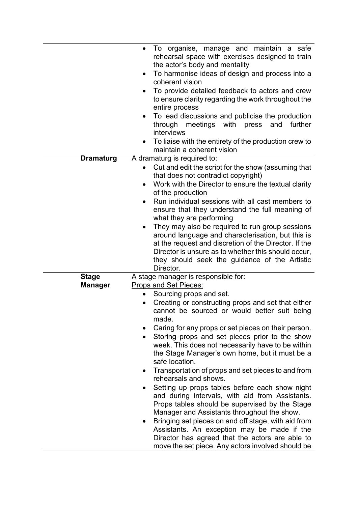|                                | To organise, manage and maintain a safe<br>rehearsal space with exercises designed to train<br>the actor's body and mentality                                                                                                                                                                                 |
|--------------------------------|---------------------------------------------------------------------------------------------------------------------------------------------------------------------------------------------------------------------------------------------------------------------------------------------------------------|
|                                | To harmonise ideas of design and process into a<br>$\bullet$<br>coherent vision                                                                                                                                                                                                                               |
|                                | To provide detailed feedback to actors and crew<br>to ensure clarity regarding the work throughout the<br>entire process                                                                                                                                                                                      |
|                                | To lead discussions and publicise the production<br>through meetings<br>with<br>press<br>and<br>further<br>interviews                                                                                                                                                                                         |
|                                | To liaise with the entirety of the production crew to<br>maintain a coherent vision                                                                                                                                                                                                                           |
| <b>Dramaturg</b>               | A dramaturg is required to:                                                                                                                                                                                                                                                                                   |
|                                | Cut and edit the script for the show (assuming that<br>$\bullet$<br>that does not contradict copyright)                                                                                                                                                                                                       |
|                                | Work with the Director to ensure the textual clarity<br>$\bullet$<br>of the production                                                                                                                                                                                                                        |
|                                | Run individual sessions with all cast members to<br>$\bullet$<br>ensure that they understand the full meaning of<br>what they are performing                                                                                                                                                                  |
|                                | They may also be required to run group sessions<br>$\bullet$<br>around language and characterisation, but this is<br>at the request and discretion of the Director. If the<br>Director is unsure as to whether this should occur,<br>they should seek the guidance of the Artistic<br>Director.               |
| <b>Stage</b><br><b>Manager</b> | A stage manager is responsible for:<br>Props and Set Pieces:                                                                                                                                                                                                                                                  |
|                                | Sourcing props and set.<br>$\bullet$<br>Creating or constructing props and set that either<br>$\bullet$<br>cannot be sourced or would better suit being<br>made.                                                                                                                                              |
|                                | Caring for any props or set pieces on their person.                                                                                                                                                                                                                                                           |
|                                | Storing props and set pieces prior to the show<br>$\bullet$<br>week. This does not necessarily have to be within<br>the Stage Manager's own home, but it must be a<br>safe location.                                                                                                                          |
|                                | Transportation of props and set pieces to and from<br>$\bullet$<br>rehearsals and shows.                                                                                                                                                                                                                      |
|                                | Setting up props tables before each show night<br>and during intervals, with aid from Assistants.<br>Props tables should be supervised by the Stage<br>Manager and Assistants throughout the show.<br>Bringing set pieces on and off stage, with aid from<br>٠<br>Assistants. An exception may be made if the |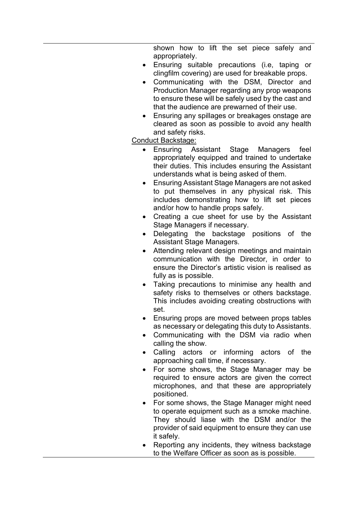shown how to lift the set piece safely and appropriately.

- Ensuring suitable precautions (i.e, taping or clingfilm covering) are used for breakable props.
- Communicating with the DSM, Director and Production Manager regarding any prop weapons to ensure these will be safely used by the cast and that the audience are prewarned of their use.
- Ensuring any spillages or breakages onstage are cleared as soon as possible to avoid any health and safety risks.

## Conduct Backstage:

- Ensuring Assistant Stage Managers feel appropriately equipped and trained to undertake their duties. This includes ensuring the Assistant understands what is being asked of them.
- Ensuring Assistant Stage Managers are not asked to put themselves in any physical risk. This includes demonstrating how to lift set pieces and/or how to handle props safely.
- Creating a cue sheet for use by the Assistant Stage Managers if necessary.
- Delegating the backstage positions of the Assistant Stage Managers.
- Attending relevant design meetings and maintain communication with the Director, in order to ensure the Director's artistic vision is realised as fully as is possible.
- Taking precautions to minimise any health and safety risks to themselves or others backstage. This includes avoiding creating obstructions with set.
- Ensuring props are moved between props tables as necessary or delegating this duty to Assistants.
- Communicating with the DSM via radio when calling the show.
- Calling actors or informing actors of the approaching call time, if necessary.
- For some shows, the Stage Manager may be required to ensure actors are given the correct microphones, and that these are appropriately positioned.
- For some shows, the Stage Manager might need to operate equipment such as a smoke machine. They should liase with the DSM and/or the provider of said equipment to ensure they can use it safely.
- Reporting any incidents, they witness backstage to the Welfare Officer as soon as is possible.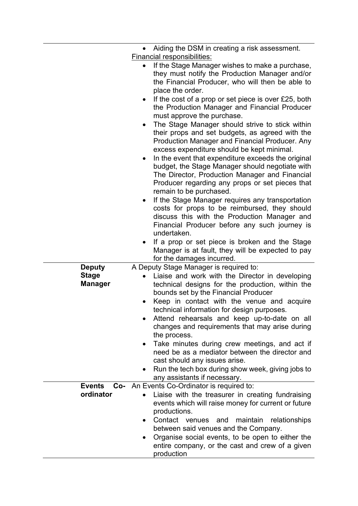|                                | Aiding the DSM in creating a risk assessment.                                                                                                                                                                                                                                                                                                                                                                                                                                                                                                                                                   |
|--------------------------------|-------------------------------------------------------------------------------------------------------------------------------------------------------------------------------------------------------------------------------------------------------------------------------------------------------------------------------------------------------------------------------------------------------------------------------------------------------------------------------------------------------------------------------------------------------------------------------------------------|
|                                | Financial responsibilities:                                                                                                                                                                                                                                                                                                                                                                                                                                                                                                                                                                     |
|                                | If the Stage Manager wishes to make a purchase,<br>$\bullet$<br>they must notify the Production Manager and/or<br>the Financial Producer, who will then be able to<br>place the order.                                                                                                                                                                                                                                                                                                                                                                                                          |
|                                | If the cost of a prop or set piece is over £25, both<br>the Production Manager and Financial Producer<br>must approve the purchase.<br>The Stage Manager should strive to stick within<br>$\bullet$<br>their props and set budgets, as agreed with the<br>Production Manager and Financial Producer. Any<br>excess expenditure should be kept minimal.<br>In the event that expenditure exceeds the original<br>budget, the Stage Manager should negotiate with<br>The Director, Production Manager and Financial<br>Producer regarding any props or set pieces that<br>remain to be purchased. |
|                                | If the Stage Manager requires any transportation<br>٠<br>costs for props to be reimbursed, they should<br>discuss this with the Production Manager and<br>Financial Producer before any such journey is<br>undertaken.                                                                                                                                                                                                                                                                                                                                                                          |
|                                | If a prop or set piece is broken and the Stage<br>Manager is at fault, they will be expected to pay<br>for the damages incurred.                                                                                                                                                                                                                                                                                                                                                                                                                                                                |
| <b>Deputy</b>                  | A Deputy Stage Manager is required to:                                                                                                                                                                                                                                                                                                                                                                                                                                                                                                                                                          |
| <b>Stage</b><br><b>Manager</b> | Liaise and work with the Director in developing<br>technical designs for the production, within the<br>bounds set by the Financial Producer                                                                                                                                                                                                                                                                                                                                                                                                                                                     |
|                                | Keep in contact with the venue and acquire<br>technical information for design purposes.<br>Attend rehearsals and keep up-to-date on all<br>changes and requirements that may arise during<br>the process.                                                                                                                                                                                                                                                                                                                                                                                      |
|                                | Take minutes during crew meetings, and act if<br>$\bullet$<br>need be as a mediator between the director and<br>cast should any issues arise.<br>Run the tech box during show week, giving jobs to<br>any assistants if necessary.                                                                                                                                                                                                                                                                                                                                                              |
| <b>Events</b>                  | <b>Co-</b> An Events Co-Ordinator is required to:                                                                                                                                                                                                                                                                                                                                                                                                                                                                                                                                               |
| ordinator                      | Liaise with the treasurer in creating fundraising<br>events which will raise money for current or future<br>productions.                                                                                                                                                                                                                                                                                                                                                                                                                                                                        |
|                                | Contact venues and<br>maintain<br>relationships<br>$\bullet$<br>between said venues and the Company.<br>Organise social events, to be open to either the<br>٠<br>entire company, or the cast and crew of a given<br>production                                                                                                                                                                                                                                                                                                                                                                  |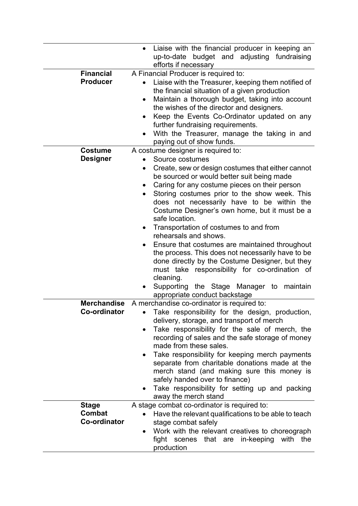|                     | Liaise with the financial producer in keeping an<br>$\bullet$<br>up-to-date budget and adjusting fundraising |
|---------------------|--------------------------------------------------------------------------------------------------------------|
|                     | efforts if necessary                                                                                         |
| <b>Financial</b>    | A Financial Producer is required to:                                                                         |
| <b>Producer</b>     | Liaise with the Treasurer, keeping them notified of                                                          |
|                     | the financial situation of a given production                                                                |
|                     | Maintain a thorough budget, taking into account<br>$\bullet$                                                 |
|                     | the wishes of the director and designers.                                                                    |
|                     | Keep the Events Co-Ordinator updated on any                                                                  |
|                     | further fundraising requirements.                                                                            |
|                     | With the Treasurer, manage the taking in and                                                                 |
|                     | paying out of show funds.                                                                                    |
| <b>Costume</b>      | A costume designer is required to:                                                                           |
| <b>Designer</b>     | Source costumes                                                                                              |
|                     | Create, sew or design costumes that either cannot<br>$\bullet$                                               |
|                     | be sourced or would better suit being made                                                                   |
|                     | Caring for any costume pieces on their person<br>٠                                                           |
|                     | Storing costumes prior to the show week. This<br>٠                                                           |
|                     | does not necessarily have to be within the                                                                   |
|                     | Costume Designer's own home, but it must be a                                                                |
|                     | safe location.                                                                                               |
|                     | Transportation of costumes to and from                                                                       |
|                     | rehearsals and shows.                                                                                        |
|                     | Ensure that costumes are maintained throughout                                                               |
|                     | the process. This does not necessarily have to be                                                            |
|                     | done directly by the Costume Designer, but they                                                              |
|                     | must take responsibility for co-ordination of                                                                |
|                     | cleaning.                                                                                                    |
|                     | Supporting the Stage Manager to maintain<br>$\bullet$                                                        |
|                     | appropriate conduct backstage                                                                                |
| <b>Merchandise</b>  | A merchandise co-ordinator is required to:                                                                   |
| <b>Co-ordinator</b> | Take responsibility for the design, production,                                                              |
|                     | delivery, storage, and transport of merch                                                                    |
|                     | Take responsibility for the sale of merch, the                                                               |
|                     | recording of sales and the safe storage of money                                                             |
|                     | made from these sales.                                                                                       |
|                     | Take responsibility for keeping merch payments                                                               |
|                     | separate from charitable donations made at the                                                               |
|                     | merch stand (and making sure this money is                                                                   |
|                     | safely handed over to finance)                                                                               |
|                     | Take responsibility for setting up and packing                                                               |
|                     | away the merch stand                                                                                         |
| <b>Stage</b>        | A stage combat co-ordinator is required to:                                                                  |
| Combat              | Have the relevant qualifications to be able to teach                                                         |
| Co-ordinator        | stage combat safely                                                                                          |
|                     | Work with the relevant creatives to choreograph                                                              |
|                     | fight scenes that are in-keeping<br>with the                                                                 |
|                     | production                                                                                                   |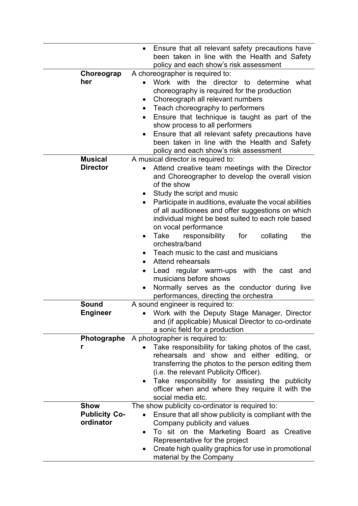|                                   | Ensure that all relevant safety precautions have<br>been taken in line with the Health and Safety<br>policy and each show's risk assessment                                                                                                                                                                                                                                                                             |
|-----------------------------------|-------------------------------------------------------------------------------------------------------------------------------------------------------------------------------------------------------------------------------------------------------------------------------------------------------------------------------------------------------------------------------------------------------------------------|
| Choreograp                        | A choreographer is required to:                                                                                                                                                                                                                                                                                                                                                                                         |
| her                               | Work with the director to determine<br>what<br>choreography is required for the production<br>Choreograph all relevant numbers<br>٠<br>Teach choreography to performers<br>$\bullet$<br>Ensure that technique is taught as part of the<br>show process to all performers<br>Ensure that all relevant safety precautions have<br>been taken in line with the Health and Safety<br>policy and each show's risk assessment |
| <b>Musical</b>                    | A musical director is required to:                                                                                                                                                                                                                                                                                                                                                                                      |
| <b>Director</b>                   | Attend creative team meetings with the Director<br>and Choreographer to develop the overall vision<br>of the show                                                                                                                                                                                                                                                                                                       |
|                                   | Study the script and music<br>Participate in auditions, evaluate the vocal abilities<br>$\bullet$<br>of all auditionees and offer suggestions on which<br>individual might be best suited to each role based<br>on vocal performance<br>responsibility<br>the<br>Take<br>for<br>collating<br>$\bullet$                                                                                                                  |
|                                   | orchestra/band<br>Teach music to the cast and musicians<br><b>Attend rehearsals</b><br>$\bullet$                                                                                                                                                                                                                                                                                                                        |
|                                   | Lead regular warm-ups with the cast and<br>musicians before shows<br>Normally serves as the conductor during live<br>$\bullet$<br>performances, directing the orchestra                                                                                                                                                                                                                                                 |
| <b>Sound</b>                      | A sound engineer is required to:                                                                                                                                                                                                                                                                                                                                                                                        |
| <b>Engineer</b>                   | Work with the Deputy Stage Manager, Director<br>and (if applicable) Musical Director to co-ordinate<br>a sonic field for a production                                                                                                                                                                                                                                                                                   |
| Photographe                       | A photographer is required to:                                                                                                                                                                                                                                                                                                                                                                                          |
| r                                 | Take responsibility for taking photos of the cast,<br>rehearsals and show and either editing, or<br>transferring the photos to the person editing them<br>(i.e. the relevant Publicity Officer).<br>Take responsibility for assisting the publicity<br>$\bullet$<br>officer when and where they require it with the<br>social media etc.                                                                                |
| <b>Show</b>                       | The show publicity co-ordinator is required to:                                                                                                                                                                                                                                                                                                                                                                         |
| <b>Publicity Co-</b><br>ordinator | Ensure that all show publicity is compliant with the<br>Company publicity and values                                                                                                                                                                                                                                                                                                                                    |
|                                   | To sit on the Marketing Board as Creative<br>$\bullet$<br>Representative for the project                                                                                                                                                                                                                                                                                                                                |
|                                   | Create high quality graphics for use in promotional<br>$\bullet$<br>material by the Company                                                                                                                                                                                                                                                                                                                             |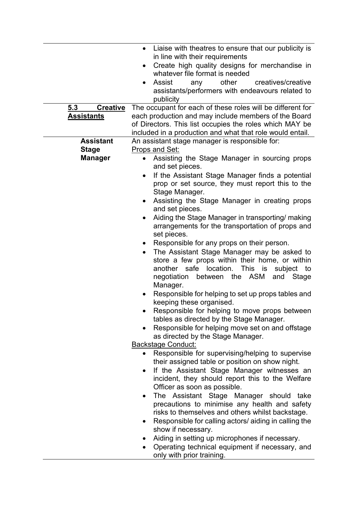|                        | Liaise with theatres to ensure that our publicity is<br>$\bullet$<br>in line with their requirements<br>Create high quality designs for merchandise in                                                                                                                              |
|------------------------|-------------------------------------------------------------------------------------------------------------------------------------------------------------------------------------------------------------------------------------------------------------------------------------|
|                        | whatever file format is needed                                                                                                                                                                                                                                                      |
|                        | other<br>creatives/creative<br>Assist<br>any<br>٠                                                                                                                                                                                                                                   |
|                        | assistants/performers with endeavours related to<br>publicity                                                                                                                                                                                                                       |
| 5.3<br><b>Creative</b> | The occupant for each of these roles will be different for                                                                                                                                                                                                                          |
| <b>Assistants</b>      | each production and may include members of the Board<br>of Directors. This list occupies the roles which MAY be                                                                                                                                                                     |
| <b>Assistant</b>       | included in a production and what that role would entail.<br>An assistant stage manager is responsible for:                                                                                                                                                                         |
| <b>Stage</b>           | Props and Set:                                                                                                                                                                                                                                                                      |
| <b>Manager</b>         | • Assisting the Stage Manager in sourcing props<br>and set pieces.                                                                                                                                                                                                                  |
|                        | If the Assistant Stage Manager finds a potential<br>$\bullet$<br>prop or set source, they must report this to the<br>Stage Manager.                                                                                                                                                 |
|                        | Assisting the Stage Manager in creating props<br>and set pieces.                                                                                                                                                                                                                    |
|                        | Aiding the Stage Manager in transporting/ making<br>arrangements for the transportation of props and<br>set pieces.                                                                                                                                                                 |
|                        | Responsible for any props on their person.<br>$\bullet$<br>The Assistant Stage Manager may be asked to<br>$\bullet$<br>store a few props within their home, or within<br>another safe location.<br>This is<br>subject to<br>between the ASM<br>negotiation<br>and Stage<br>Manager. |
|                        | Responsible for helping to set up props tables and<br>keeping these organised.                                                                                                                                                                                                      |
|                        | Responsible for helping to move props between<br>tables as directed by the Stage Manager.                                                                                                                                                                                           |
|                        | Responsible for helping move set on and offstage<br>as directed by the Stage Manager.                                                                                                                                                                                               |
|                        | <b>Backstage Conduct:</b>                                                                                                                                                                                                                                                           |
|                        | Responsible for supervising/helping to supervise<br>their assigned table or position on show night.                                                                                                                                                                                 |
|                        | If the Assistant Stage Manager witnesses an<br>incident, they should report this to the Welfare<br>Officer as soon as possible.                                                                                                                                                     |
|                        | The Assistant Stage Manager should take<br>precautions to minimise any health and safety<br>risks to themselves and others whilst backstage.                                                                                                                                        |
|                        | Responsible for calling actors/ aiding in calling the<br>show if necessary.                                                                                                                                                                                                         |
|                        | Aiding in setting up microphones if necessary.<br>Operating technical equipment if necessary, and<br>only with prior training.                                                                                                                                                      |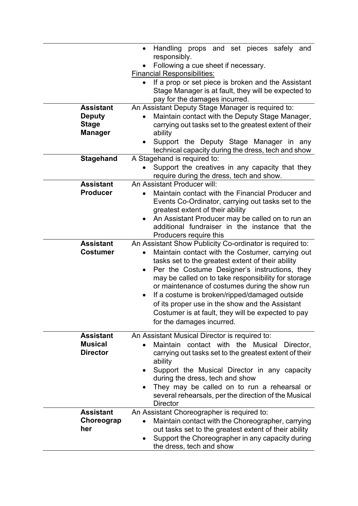|                  | Handling props and set pieces safely<br>and<br>$\bullet$                                                        |
|------------------|-----------------------------------------------------------------------------------------------------------------|
|                  | responsibly.<br>Following a cue sheet if necessary.                                                             |
|                  | <b>Financial Responsibilities:</b>                                                                              |
|                  | If a prop or set piece is broken and the Assistant                                                              |
|                  | Stage Manager is at fault, they will be expected to                                                             |
| <b>Assistant</b> | pay for the damages incurred.                                                                                   |
| <b>Deputy</b>    | An Assistant Deputy Stage Manager is required to:<br>Maintain contact with the Deputy Stage Manager,            |
| <b>Stage</b>     | carrying out tasks set to the greatest extent of their                                                          |
| <b>Manager</b>   | ability                                                                                                         |
|                  | Support the Deputy Stage Manager in any                                                                         |
|                  | technical capacity during the dress, tech and show                                                              |
| <b>Stagehand</b> | A Stagehand is required to:                                                                                     |
|                  | Support the creatives in any capacity that they<br>require during the dress, tech and show.                     |
| <b>Assistant</b> | An Assistant Producer will:                                                                                     |
| <b>Producer</b>  | Maintain contact with the Financial Producer and                                                                |
|                  | Events Co-Ordinator, carrying out tasks set to the<br>greatest extent of their ability                          |
|                  | An Assistant Producer may be called on to run an<br>٠                                                           |
|                  | additional fundraiser in the instance that the                                                                  |
|                  | Producers require this                                                                                          |
| <b>Assistant</b> | An Assistant Show Publicity Co-ordinator is required to:                                                        |
| <b>Costumer</b>  | Maintain contact with the Costumer, carrying out                                                                |
|                  | tasks set to the greatest extent of their ability<br>Per the Costume Designer's instructions, they<br>$\bullet$ |
|                  | may be called on to take responsibility for storage                                                             |
|                  | or maintenance of costumes during the show run                                                                  |
|                  | If a costume is broken/ripped/damaged outside<br>$\bullet$                                                      |
|                  | of its proper use in the show and the Assistant                                                                 |
|                  | Costumer is at fault, they will be expected to pay                                                              |
|                  | for the damages incurred.                                                                                       |
| <b>Assistant</b> | An Assistant Musical Director is required to:                                                                   |
| <b>Musical</b>   | Maintain<br>contact with the<br><b>Musical</b><br>Director,                                                     |
| <b>Director</b>  | carrying out tasks set to the greatest extent of their                                                          |
|                  | ability<br>Support the Musical Director in any capacity                                                         |
|                  | during the dress, tech and show                                                                                 |
|                  | They may be called on to run a rehearsal or                                                                     |
|                  | several rehearsals, per the direction of the Musical<br><b>Director</b>                                         |
| <b>Assistant</b> | An Assistant Choreographer is required to:                                                                      |
| Choreograp       | Maintain contact with the Choreographer, carrying                                                               |
| her              | out tasks set to the greatest extent of their ability                                                           |
|                  | Support the Choreographer in any capacity during<br>the dress, tech and show                                    |
|                  |                                                                                                                 |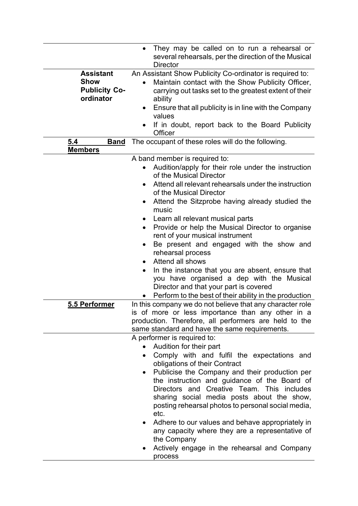|                                                                      | They may be called on to run a rehearsal or<br>$\bullet$<br>several rehearsals, per the direction of the Musical<br><b>Director</b>                                                                                                                                                                                                                                                                                                                                                                                                                                                                                                                                                                   |
|----------------------------------------------------------------------|-------------------------------------------------------------------------------------------------------------------------------------------------------------------------------------------------------------------------------------------------------------------------------------------------------------------------------------------------------------------------------------------------------------------------------------------------------------------------------------------------------------------------------------------------------------------------------------------------------------------------------------------------------------------------------------------------------|
| <b>Assistant</b><br><b>Show</b><br><b>Publicity Co-</b><br>ordinator | An Assistant Show Publicity Co-ordinator is required to:<br>Maintain contact with the Show Publicity Officer,<br>carrying out tasks set to the greatest extent of their<br>ability<br>Ensure that all publicity is in line with the Company<br>values<br>If in doubt, report back to the Board Publicity<br>Officer                                                                                                                                                                                                                                                                                                                                                                                   |
| 5.4<br><b>Band</b><br><b>Members</b>                                 | The occupant of these roles will do the following.                                                                                                                                                                                                                                                                                                                                                                                                                                                                                                                                                                                                                                                    |
|                                                                      | A band member is required to:<br>Audition/apply for their role under the instruction<br>of the Musical Director<br>Attend all relevant rehearsals under the instruction<br>٠<br>of the Musical Director<br>Attend the Sitzprobe having already studied the<br>music<br>Learn all relevant musical parts<br>Provide or help the Musical Director to organise<br>$\bullet$<br>rent of your musical instrument<br>Be present and engaged with the show and<br>rehearsal process<br>Attend all shows<br>In the instance that you are absent, ensure that<br>you have organised a dep with the Musical<br>Director and that your part is covered<br>Perform to the best of their ability in the production |
| 5.5 Performer                                                        | In this company we do not believe that any character role<br>is of more or less importance than any other in a<br>production. Therefore, all performers are held to the<br>same standard and have the same requirements.                                                                                                                                                                                                                                                                                                                                                                                                                                                                              |
|                                                                      | A performer is required to:<br>Audition for their part<br>Comply with and fulfil the expectations and<br>$\bullet$<br>obligations of their Contract<br>Publicise the Company and their production per<br>$\bullet$<br>the instruction and guidance of the Board of<br>Directors and Creative Team. This includes<br>sharing social media posts about the show,<br>posting rehearsal photos to personal social media,<br>etc.<br>Adhere to our values and behave appropriately in<br>any capacity where they are a representative of<br>the Company<br>Actively engage in the rehearsal and Company<br>process                                                                                         |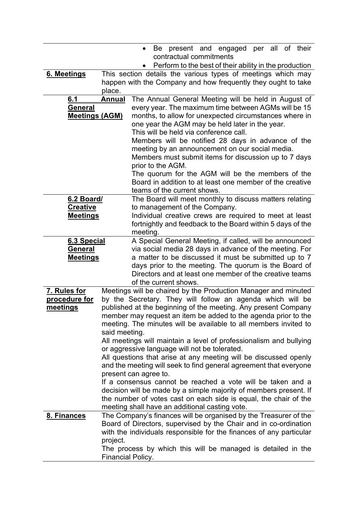|                       |                   | per all of their<br>present and engaged<br>Be<br>$\bullet$<br>contractual commitments                                                |
|-----------------------|-------------------|--------------------------------------------------------------------------------------------------------------------------------------|
|                       |                   | Perform to the best of their ability in the production                                                                               |
| 6. Meetings           |                   | This section details the various types of meetings which may                                                                         |
|                       |                   | happen with the Company and how frequently they ought to take                                                                        |
|                       | place.            |                                                                                                                                      |
| 6.1                   | <b>Annual</b>     | The Annual General Meeting will be held in August of                                                                                 |
| <b>General</b>        |                   | every year. The maximum time between AGMs will be 15                                                                                 |
| <b>Meetings (AGM)</b> |                   | months, to allow for unexpected circumstances where in                                                                               |
|                       |                   | one year the AGM may be held later in the year.                                                                                      |
|                       |                   | This will be held via conference call.<br>Members will be notified 28 days in advance of the                                         |
|                       |                   | meeting by an announcement on our social media.                                                                                      |
|                       |                   | Members must submit items for discussion up to 7 days                                                                                |
|                       |                   | prior to the AGM.                                                                                                                    |
|                       |                   | The quorum for the AGM will be the members of the                                                                                    |
|                       |                   | Board in addition to at least one member of the creative                                                                             |
|                       |                   | teams of the current shows.                                                                                                          |
| 6.2 Board/            |                   | The Board will meet monthly to discuss matters relating                                                                              |
| <b>Creative</b>       |                   | to management of the Company.                                                                                                        |
| <b>Meetings</b>       |                   | Individual creative crews are required to meet at least                                                                              |
|                       |                   | fortnightly and feedback to the Board within 5 days of the                                                                           |
| 6.3 Special           |                   | meeting.<br>A Special General Meeting, if called, will be announced                                                                  |
| General               |                   | via social media 28 days in advance of the meeting. For                                                                              |
| <b>Meetings</b>       |                   | a matter to be discussed it must be submitted up to 7                                                                                |
|                       |                   | days prior to the meeting. The quorum is the Board of                                                                                |
|                       |                   | Directors and at least one member of the creative teams                                                                              |
|                       |                   | of the current shows.                                                                                                                |
| 7. Rules for          |                   | Meetings will be chaired by the Production Manager and minuted                                                                       |
| procedure for         |                   | by the Secretary. They will follow an agenda which will be                                                                           |
| meetings              |                   | published at the beginning of the meeting. Any present Company                                                                       |
|                       |                   | member may request an item be added to the agenda prior to the                                                                       |
|                       | said meeting.     | meeting. The minutes will be available to all members invited to                                                                     |
|                       |                   | All meetings will maintain a level of professionalism and bullying                                                                   |
|                       |                   | or aggressive language will not be tolerated.                                                                                        |
|                       |                   | All questions that arise at any meeting will be discussed openly                                                                     |
|                       |                   | and the meeting will seek to find general agreement that everyone                                                                    |
|                       |                   | present can agree to.                                                                                                                |
|                       |                   | If a consensus cannot be reached a vote will be taken and a                                                                          |
|                       |                   | decision will be made by a simple majority of members present. If                                                                    |
|                       |                   | the number of votes cast on each side is equal, the chair of the                                                                     |
|                       |                   | meeting shall have an additional casting vote.                                                                                       |
| 8. Finances           |                   | The Company's finances will be organised by the Treasurer of the<br>Board of Directors, supervised by the Chair and in co-ordination |
|                       |                   | with the individuals responsible for the finances of any particular                                                                  |
|                       | project.          |                                                                                                                                      |
|                       |                   | The process by which this will be managed is detailed in the                                                                         |
|                       | Financial Policy. |                                                                                                                                      |